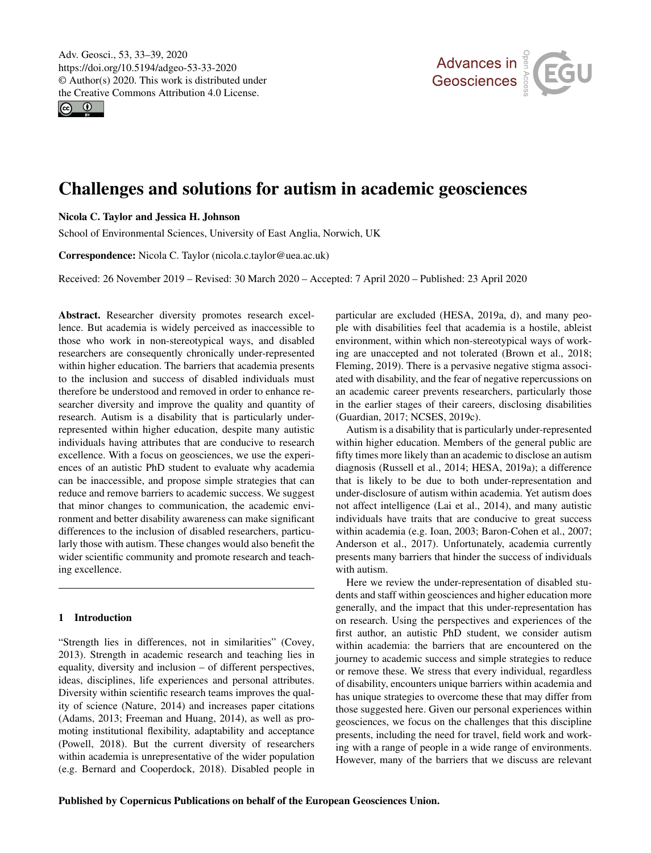$\circledcirc$ 



# Challenges and solutions for autism in academic geosciences

## Nicola C. Taylor and Jessica H. Johnson

School of Environmental Sciences, University of East Anglia, Norwich, UK

Correspondence: Nicola C. Taylor (nicola.c.taylor@uea.ac.uk)

Received: 26 November 2019 – Revised: 30 March 2020 – Accepted: 7 April 2020 – Published: 23 April 2020

Abstract. Researcher diversity promotes research excellence. But academia is widely perceived as inaccessible to those who work in non-stereotypical ways, and disabled researchers are consequently chronically under-represented within higher education. The barriers that academia presents to the inclusion and success of disabled individuals must therefore be understood and removed in order to enhance researcher diversity and improve the quality and quantity of research. Autism is a disability that is particularly underrepresented within higher education, despite many autistic individuals having attributes that are conducive to research excellence. With a focus on geosciences, we use the experiences of an autistic PhD student to evaluate why academia can be inaccessible, and propose simple strategies that can reduce and remove barriers to academic success. We suggest that minor changes to communication, the academic environment and better disability awareness can make significant differences to the inclusion of disabled researchers, particularly those with autism. These changes would also benefit the wider scientific community and promote research and teaching excellence.

## 1 Introduction

"Strength lies in differences, not in similarities" [\(Covey,](#page-5-0) [2013\)](#page-5-0). Strength in academic research and teaching lies in equality, diversity and inclusion – of different perspectives, ideas, disciplines, life experiences and personal attributes. Diversity within scientific research teams improves the quality of science [\(Nature,](#page-6-0) [2014\)](#page-6-0) and increases paper citations [\(Adams,](#page-5-1) [2013;](#page-5-1) [Freeman and Huang,](#page-5-2) [2014\)](#page-5-2), as well as promoting institutional flexibility, adaptability and acceptance [\(Powell,](#page-6-1) [2018\)](#page-6-1). But the current diversity of researchers within academia is unrepresentative of the wider population (e.g. [Bernard and Cooperdock,](#page-5-3) [2018\)](#page-5-3). Disabled people in particular are excluded [\(HESA,](#page-5-4) [2019a,](#page-5-4) [d\)](#page-5-5), and many people with disabilities feel that academia is a hostile, ableist environment, within which non-stereotypical ways of working are unaccepted and not tolerated [\(Brown et al.,](#page-5-6) [2018;](#page-5-6) [Fleming,](#page-5-7) [2019\)](#page-5-7). There is a pervasive negative stigma associated with disability, and the fear of negative repercussions on an academic career prevents researchers, particularly those in the earlier stages of their careers, disclosing disabilities [\(Guardian,](#page-5-8) [2017;](#page-5-8) [NCSES,](#page-6-2) [2019c\)](#page-6-2).

Autism is a disability that is particularly under-represented within higher education. Members of the general public are fifty times more likely than an academic to disclose an autism diagnosis [\(Russell et al.,](#page-6-3) [2014;](#page-6-3) [HESA,](#page-5-4) [2019a\)](#page-5-4); a difference that is likely to be due to both under-representation and under-disclosure of autism within academia. Yet autism does not affect intelligence [\(Lai et al.,](#page-6-4) [2014\)](#page-6-4), and many autistic individuals have traits that are conducive to great success within academia (e.g. [Ioan,](#page-5-9) [2003;](#page-5-9) [Baron-Cohen et al.,](#page-5-10) [2007;](#page-5-10) [Anderson et al.,](#page-5-11) [2017\)](#page-5-11). Unfortunately, academia currently presents many barriers that hinder the success of individuals with autism.

Here we review the under-representation of disabled students and staff within geosciences and higher education more generally, and the impact that this under-representation has on research. Using the perspectives and experiences of the first author, an autistic PhD student, we consider autism within academia: the barriers that are encountered on the journey to academic success and simple strategies to reduce or remove these. We stress that every individual, regardless of disability, encounters unique barriers within academia and has unique strategies to overcome these that may differ from those suggested here. Given our personal experiences within geosciences, we focus on the challenges that this discipline presents, including the need for travel, field work and working with a range of people in a wide range of environments. However, many of the barriers that we discuss are relevant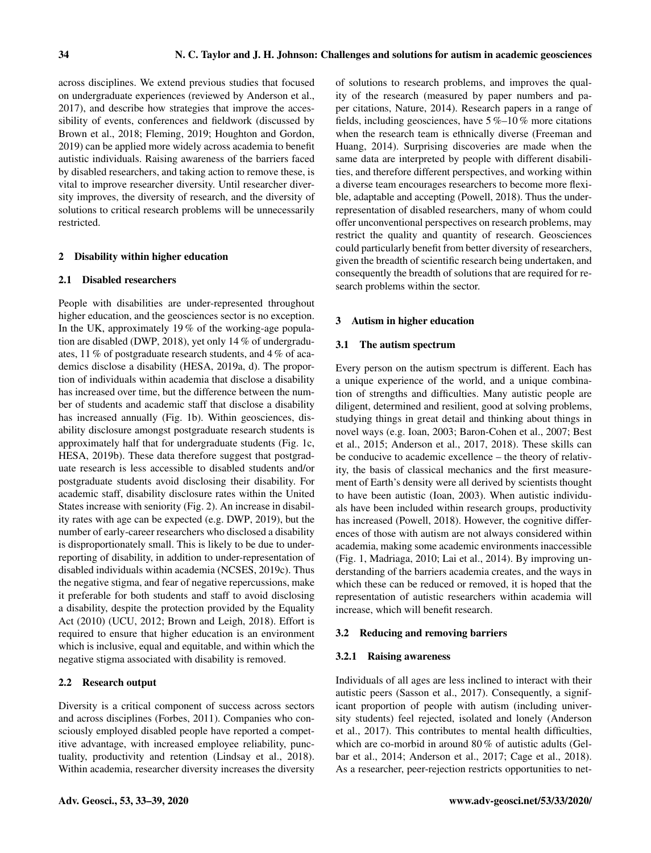across disciplines. We extend previous studies that focused on undergraduate experiences (reviewed by [Anderson et al.,](#page-5-11) [2017\)](#page-5-11), and describe how strategies that improve the accessibility of events, conferences and fieldwork (discussed by [Brown et al.,](#page-5-6) [2018;](#page-5-6) [Fleming,](#page-5-7) [2019;](#page-5-7) [Houghton and Gordon,](#page-5-12) [2019\)](#page-5-12) can be applied more widely across academia to benefit autistic individuals. Raising awareness of the barriers faced by disabled researchers, and taking action to remove these, is vital to improve researcher diversity. Until researcher diversity improves, the diversity of research, and the diversity of solutions to critical research problems will be unnecessarily restricted.

## 2 Disability within higher education

## 2.1 Disabled researchers

People with disabilities are under-represented throughout higher education, and the geosciences sector is no exception. In the UK, approximately 19 % of the working-age population are disabled [\(DWP,](#page-5-13) [2018\)](#page-5-13), yet only 14 % of undergraduates, 11 % of postgraduate research students, and 4 % of academics disclose a disability [\(HESA,](#page-5-4) [2019a,](#page-5-4) [d\)](#page-5-5). The proportion of individuals within academia that disclose a disability has increased over time, but the difference between the number of students and academic staff that disclose a disability has increased annually (Fig. [1b](#page-2-0)). Within geosciences, disability disclosure amongst postgraduate research students is approximately half that for undergraduate students (Fig. [1c](#page-2-0), [HESA,](#page-5-14) [2019b\)](#page-5-14). These data therefore suggest that postgraduate research is less accessible to disabled students and/or postgraduate students avoid disclosing their disability. For academic staff, disability disclosure rates within the United States increase with seniority (Fig. [2\)](#page-3-0). An increase in disability rates with age can be expected (e.g. [DWP,](#page-5-15) [2019\)](#page-5-15), but the number of early-career researchers who disclosed a disability is disproportionately small. This is likely to be due to underreporting of disability, in addition to under-representation of disabled individuals within academia [\(NCSES,](#page-6-2) [2019c\)](#page-6-2). Thus the negative stigma, and fear of negative repercussions, make it preferable for both students and staff to avoid disclosing a disability, despite the protection provided by the Equality Act (2010) [\(UCU,](#page-6-5) [2012;](#page-6-5) [Brown and Leigh,](#page-5-16) [2018\)](#page-5-16). Effort is required to ensure that higher education is an environment which is inclusive, equal and equitable, and within which the negative stigma associated with disability is removed.

## 2.2 Research output

Diversity is a critical component of success across sectors and across disciplines [\(Forbes,](#page-5-17) [2011\)](#page-5-17). Companies who consciously employed disabled people have reported a competitive advantage, with increased employee reliability, punctuality, productivity and retention [\(Lindsay et al.,](#page-6-6) [2018\)](#page-6-6). Within academia, researcher diversity increases the diversity of solutions to research problems, and improves the quality of the research (measured by paper numbers and paper citations, [Nature,](#page-6-0) [2014\)](#page-6-0). Research papers in a range of fields, including geosciences, have  $5\%$ –10% more citations when the research team is ethnically diverse [\(Freeman and](#page-5-2) [Huang,](#page-5-2) [2014\)](#page-5-2). Surprising discoveries are made when the same data are interpreted by people with different disabilities, and therefore different perspectives, and working within a diverse team encourages researchers to become more flexible, adaptable and accepting [\(Powell,](#page-6-1) [2018\)](#page-6-1). Thus the underrepresentation of disabled researchers, many of whom could offer unconventional perspectives on research problems, may restrict the quality and quantity of research. Geosciences could particularly benefit from better diversity of researchers, given the breadth of scientific research being undertaken, and consequently the breadth of solutions that are required for research problems within the sector.

#### 3 Autism in higher education

#### 3.1 The autism spectrum

Every person on the autism spectrum is different. Each has a unique experience of the world, and a unique combination of strengths and difficulties. Many autistic people are diligent, determined and resilient, good at solving problems, studying things in great detail and thinking about things in novel ways (e.g. [Ioan,](#page-5-9) [2003;](#page-5-9) [Baron-Cohen et al.,](#page-5-10) [2007;](#page-5-10) [Best](#page-5-18) [et al.,](#page-5-18) [2015;](#page-5-18) [Anderson et al.,](#page-5-11) [2017,](#page-5-11) [2018\)](#page-5-19). These skills can be conducive to academic excellence – the theory of relativity, the basis of classical mechanics and the first measurement of Earth's density were all derived by scientists thought to have been autistic [\(Ioan,](#page-5-9) [2003\)](#page-5-9). When autistic individuals have been included within research groups, productivity has increased [\(Powell,](#page-6-1) [2018\)](#page-6-1). However, the cognitive differences of those with autism are not always considered within academia, making some academic environments inaccessible (Fig. [1,](#page-2-0) [Madriaga,](#page-6-7) [2010;](#page-6-7) [Lai et al.,](#page-6-4) [2014\)](#page-6-4). By improving understanding of the barriers academia creates, and the ways in which these can be reduced or removed, it is hoped that the representation of autistic researchers within academia will increase, which will benefit research.

#### 3.2 Reducing and removing barriers

#### 3.2.1 Raising awareness

Individuals of all ages are less inclined to interact with their autistic peers [\(Sasson et al.,](#page-6-8) [2017\)](#page-6-8). Consequently, a significant proportion of people with autism (including university students) feel rejected, isolated and lonely [\(Anderson](#page-5-11) [et al.,](#page-5-11) [2017\)](#page-5-11). This contributes to mental health difficulties, which are co-morbid in around 80 % of autistic adults [\(Gel](#page-5-20)[bar et al.,](#page-5-20) [2014;](#page-5-20) [Anderson et al.,](#page-5-11) [2017;](#page-5-11) [Cage et al.,](#page-5-21) [2018\)](#page-5-21). As a researcher, peer-rejection restricts opportunities to net-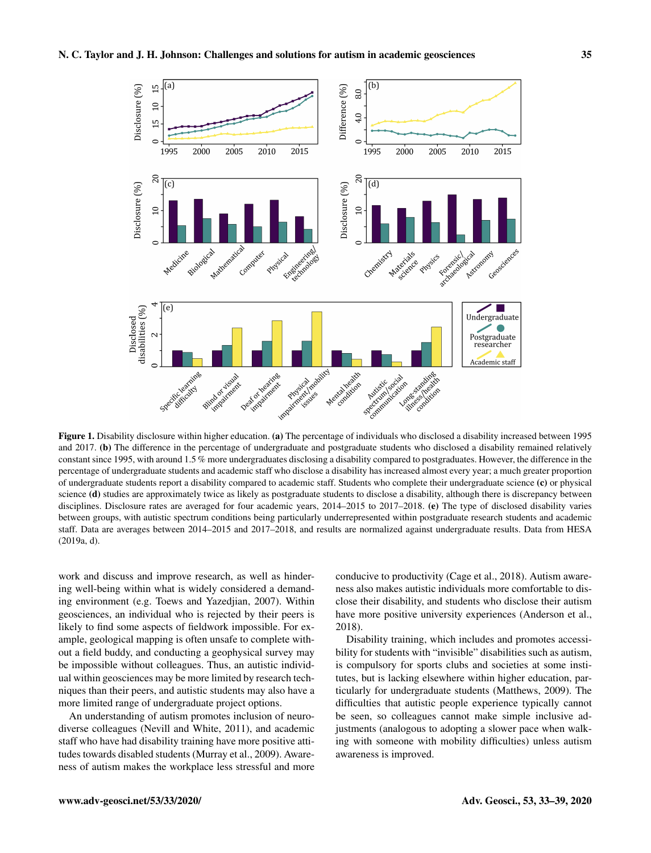<span id="page-2-0"></span>

Figure 1. Disability disclosure within higher education. (a) The percentage of individuals who disclosed a disability increased between 1995 and 2017. (b) The difference in the percentage of undergraduate and postgraduate students who disclosed a disability remained relatively constant since 1995, with around 1.5 % more undergraduates disclosing a disability compared to postgraduates. However, the difference in the percentage of undergraduate students and academic staff who disclose a disability has increased almost every year; a much greater proportion of undergraduate students report a disability compared to academic staff. Students who complete their undergraduate science (c) or physical science (d) studies are approximately twice as likely as postgraduate students to disclose a disability, although there is discrepancy between disciplines. Disclosure rates are averaged for four academic years, 2014–2015 to 2017–2018. (e) The type of disclosed disability varies between groups, with autistic spectrum conditions being particularly underrepresented within postgraduate research students and academic staff. Data are averages between 2014–2015 and 2017–2018, and results are normalized against undergraduate results. Data from [HESA](#page-5-4) [\(2019a,](#page-5-4) [d\)](#page-5-5).

work and discuss and improve research, as well as hindering well-being within what is widely considered a demanding environment (e.g. [Toews and Yazedjian,](#page-6-9) [2007\)](#page-6-9). Within geosciences, an individual who is rejected by their peers is likely to find some aspects of fieldwork impossible. For example, geological mapping is often unsafe to complete without a field buddy, and conducting a geophysical survey may be impossible without colleagues. Thus, an autistic individual within geosciences may be more limited by research techniques than their peers, and autistic students may also have a more limited range of undergraduate project options.

An understanding of autism promotes inclusion of neurodiverse colleagues [\(Nevill and White,](#page-6-10) [2011\)](#page-6-10), and academic staff who have had disability training have more positive attitudes towards disabled students [\(Murray et al.,](#page-6-11) [2009\)](#page-6-11). Awareness of autism makes the workplace less stressful and more conducive to productivity [\(Cage et al.,](#page-5-21) [2018\)](#page-5-21). Autism awareness also makes autistic individuals more comfortable to disclose their disability, and students who disclose their autism have more positive university experiences [\(Anderson et al.,](#page-5-19) [2018\)](#page-5-19).

Disability training, which includes and promotes accessibility for students with "invisible" disabilities such as autism, is compulsory for sports clubs and societies at some institutes, but is lacking elsewhere within higher education, particularly for undergraduate students [\(Matthews,](#page-6-12) [2009\)](#page-6-12). The difficulties that autistic people experience typically cannot be seen, so colleagues cannot make simple inclusive adjustments (analogous to adopting a slower pace when walking with someone with mobility difficulties) unless autism awareness is improved.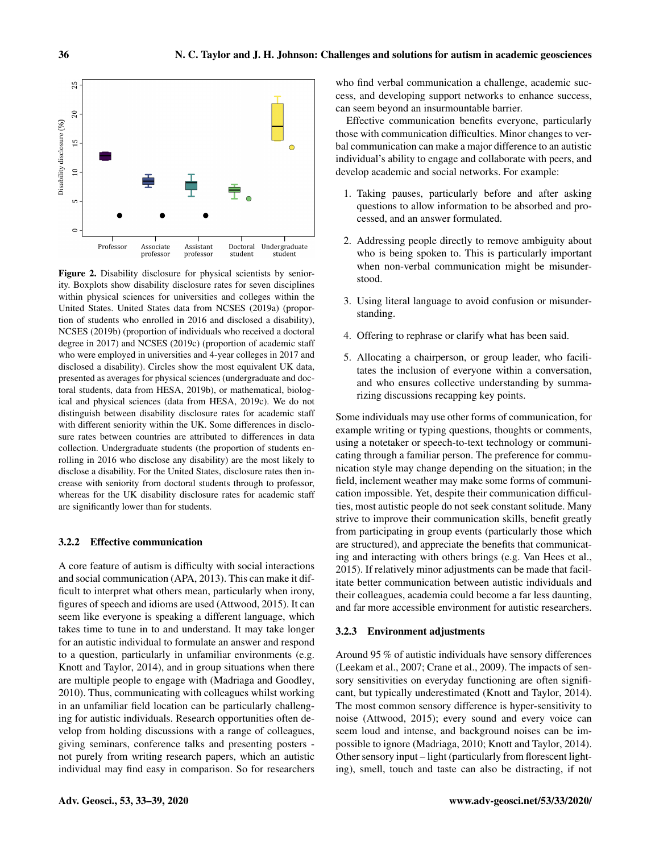<span id="page-3-0"></span>

Figure 2. Disability disclosure for physical scientists by seniority. Boxplots show disability disclosure rates for seven disciplines within physical sciences for universities and colleges within the United States. United States data from [NCSES](#page-6-13) [\(2019a\)](#page-6-13) (proportion of students who enrolled in 2016 and disclosed a disability), [NCSES](#page-6-14) [\(2019b\)](#page-6-14) (proportion of individuals who received a doctoral degree in 2017) and [NCSES](#page-6-2) [\(2019c\)](#page-6-2) (proportion of academic staff who were employed in universities and 4-year colleges in 2017 and disclosed a disability). Circles show the most equivalent UK data, presented as averages for physical sciences (undergraduate and doctoral students, data from [HESA,](#page-5-14) [2019b\)](#page-5-14), or mathematical, biological and physical sciences (data from [HESA,](#page-5-22) [2019c\)](#page-5-22). We do not distinguish between disability disclosure rates for academic staff with different seniority within the UK. Some differences in disclosure rates between countries are attributed to differences in data collection. Undergraduate students (the proportion of students enrolling in 2016 who disclose any disability) are the most likely to disclose a disability. For the United States, disclosure rates then increase with seniority from doctoral students through to professor, whereas for the UK disability disclosure rates for academic staff are significantly lower than for students.

## 3.2.2 Effective communication

A core feature of autism is difficulty with social interactions and social communication [\(APA,](#page-5-23) [2013\)](#page-5-23). This can make it difficult to interpret what others mean, particularly when irony, figures of speech and idioms are used [\(Attwood,](#page-5-24) [2015\)](#page-5-24). It can seem like everyone is speaking a different language, which takes time to tune in to and understand. It may take longer for an autistic individual to formulate an answer and respond to a question, particularly in unfamiliar environments (e.g. [Knott and Taylor,](#page-5-25) [2014\)](#page-5-25), and in group situations when there are multiple people to engage with [\(Madriaga and Goodley,](#page-6-15) [2010\)](#page-6-15). Thus, communicating with colleagues whilst working in an unfamiliar field location can be particularly challenging for autistic individuals. Research opportunities often develop from holding discussions with a range of colleagues, giving seminars, conference talks and presenting posters not purely from writing research papers, which an autistic individual may find easy in comparison. So for researchers who find verbal communication a challenge, academic success, and developing support networks to enhance success, can seem beyond an insurmountable barrier.

Effective communication benefits everyone, particularly those with communication difficulties. Minor changes to verbal communication can make a major difference to an autistic individual's ability to engage and collaborate with peers, and develop academic and social networks. For example:

- 1. Taking pauses, particularly before and after asking questions to allow information to be absorbed and processed, and an answer formulated.
- 2. Addressing people directly to remove ambiguity about who is being spoken to. This is particularly important when non-verbal communication might be misunderstood.
- 3. Using literal language to avoid confusion or misunderstanding.
- 4. Offering to rephrase or clarify what has been said.
- 5. Allocating a chairperson, or group leader, who facilitates the inclusion of everyone within a conversation, and who ensures collective understanding by summarizing discussions recapping key points.

Some individuals may use other forms of communication, for example writing or typing questions, thoughts or comments, using a notetaker or speech-to-text technology or communicating through a familiar person. The preference for communication style may change depending on the situation; in the field, inclement weather may make some forms of communication impossible. Yet, despite their communication difficulties, most autistic people do not seek constant solitude. Many strive to improve their communication skills, benefit greatly from participating in group events (particularly those which are structured), and appreciate the benefits that communicating and interacting with others brings (e.g. [Van Hees et al.,](#page-6-16) [2015\)](#page-6-16). If relatively minor adjustments can be made that facilitate better communication between autistic individuals and their colleagues, academia could become a far less daunting, and far more accessible environment for autistic researchers.

## 3.2.3 Environment adjustments

Around 95 % of autistic individuals have sensory differences [\(Leekam et al.,](#page-6-17) [2007;](#page-6-17) [Crane et al.,](#page-5-26) [2009\)](#page-5-26). The impacts of sensory sensitivities on everyday functioning are often significant, but typically underestimated [\(Knott and Taylor,](#page-5-25) [2014\)](#page-5-25). The most common sensory difference is hyper-sensitivity to noise [\(Attwood,](#page-5-24) [2015\)](#page-5-24); every sound and every voice can seem loud and intense, and background noises can be impossible to ignore [\(Madriaga,](#page-6-7) [2010;](#page-6-7) [Knott and Taylor,](#page-5-25) [2014\)](#page-5-25). Other sensory input – light (particularly from florescent lighting), smell, touch and taste can also be distracting, if not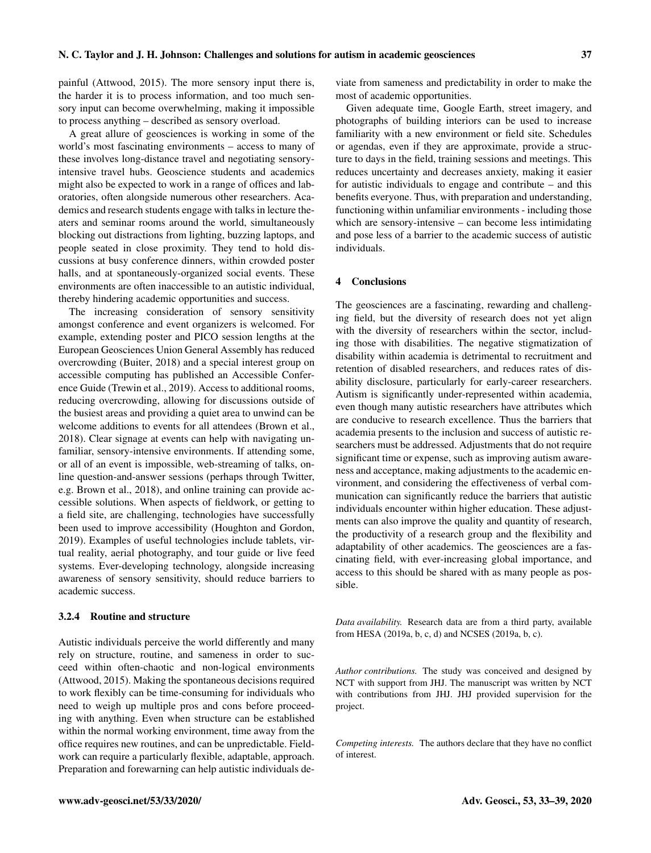painful [\(Attwood,](#page-5-24) [2015\)](#page-5-24). The more sensory input there is, the harder it is to process information, and too much sensory input can become overwhelming, making it impossible to process anything – described as sensory overload.

A great allure of geosciences is working in some of the world's most fascinating environments – access to many of these involves long-distance travel and negotiating sensoryintensive travel hubs. Geoscience students and academics might also be expected to work in a range of offices and laboratories, often alongside numerous other researchers. Academics and research students engage with talks in lecture theaters and seminar rooms around the world, simultaneously blocking out distractions from lighting, buzzing laptops, and people seated in close proximity. They tend to hold discussions at busy conference dinners, within crowded poster halls, and at spontaneously-organized social events. These environments are often inaccessible to an autistic individual, thereby hindering academic opportunities and success.

The increasing consideration of sensory sensitivity amongst conference and event organizers is welcomed. For example, extending poster and PICO session lengths at the European Geosciences Union General Assembly has reduced overcrowding [\(Buiter,](#page-5-27) [2018\)](#page-5-27) and a special interest group on accessible computing has published an Accessible Conference Guide [\(Trewin et al.,](#page-6-18) [2019\)](#page-6-18). Access to additional rooms, reducing overcrowding, allowing for discussions outside of the busiest areas and providing a quiet area to unwind can be welcome additions to events for all attendees [\(Brown et al.,](#page-5-6) [2018\)](#page-5-6). Clear signage at events can help with navigating unfamiliar, sensory-intensive environments. If attending some, or all of an event is impossible, web-streaming of talks, online question-and-answer sessions (perhaps through Twitter, e.g. [Brown et al.,](#page-5-6) [2018\)](#page-5-6), and online training can provide accessible solutions. When aspects of fieldwork, or getting to a field site, are challenging, technologies have successfully been used to improve accessibility [\(Houghton and Gordon,](#page-5-12) [2019\)](#page-5-12). Examples of useful technologies include tablets, virtual reality, aerial photography, and tour guide or live feed systems. Ever-developing technology, alongside increasing awareness of sensory sensitivity, should reduce barriers to academic success.

## 3.2.4 Routine and structure

Autistic individuals perceive the world differently and many rely on structure, routine, and sameness in order to succeed within often-chaotic and non-logical environments [\(Attwood,](#page-5-24) [2015\)](#page-5-24). Making the spontaneous decisions required to work flexibly can be time-consuming for individuals who need to weigh up multiple pros and cons before proceeding with anything. Even when structure can be established within the normal working environment, time away from the office requires new routines, and can be unpredictable. Fieldwork can require a particularly flexible, adaptable, approach. Preparation and forewarning can help autistic individuals de-

viate from sameness and predictability in order to make the most of academic opportunities.

Given adequate time, Google Earth, street imagery, and photographs of building interiors can be used to increase familiarity with a new environment or field site. Schedules or agendas, even if they are approximate, provide a structure to days in the field, training sessions and meetings. This reduces uncertainty and decreases anxiety, making it easier for autistic individuals to engage and contribute – and this benefits everyone. Thus, with preparation and understanding, functioning within unfamiliar environments - including those which are sensory-intensive – can become less intimidating and pose less of a barrier to the academic success of autistic individuals.

## 4 Conclusions

The geosciences are a fascinating, rewarding and challenging field, but the diversity of research does not yet align with the diversity of researchers within the sector, including those with disabilities. The negative stigmatization of disability within academia is detrimental to recruitment and retention of disabled researchers, and reduces rates of disability disclosure, particularly for early-career researchers. Autism is significantly under-represented within academia, even though many autistic researchers have attributes which are conducive to research excellence. Thus the barriers that academia presents to the inclusion and success of autistic researchers must be addressed. Adjustments that do not require significant time or expense, such as improving autism awareness and acceptance, making adjustments to the academic environment, and considering the effectiveness of verbal communication can significantly reduce the barriers that autistic individuals encounter within higher education. These adjustments can also improve the quality and quantity of research, the productivity of a research group and the flexibility and adaptability of other academics. The geosciences are a fascinating field, with ever-increasing global importance, and access to this should be shared with as many people as possible.

*Data availability.* Research data are from a third party, available from HESA (2019a, b, c, d) and NCSES (2019a, b, c).

*Author contributions.* The study was conceived and designed by NCT with support from JHJ. The manuscript was written by NCT with contributions from JHJ. JHJ provided supervision for the project.

*Competing interests.* The authors declare that they have no conflict of interest.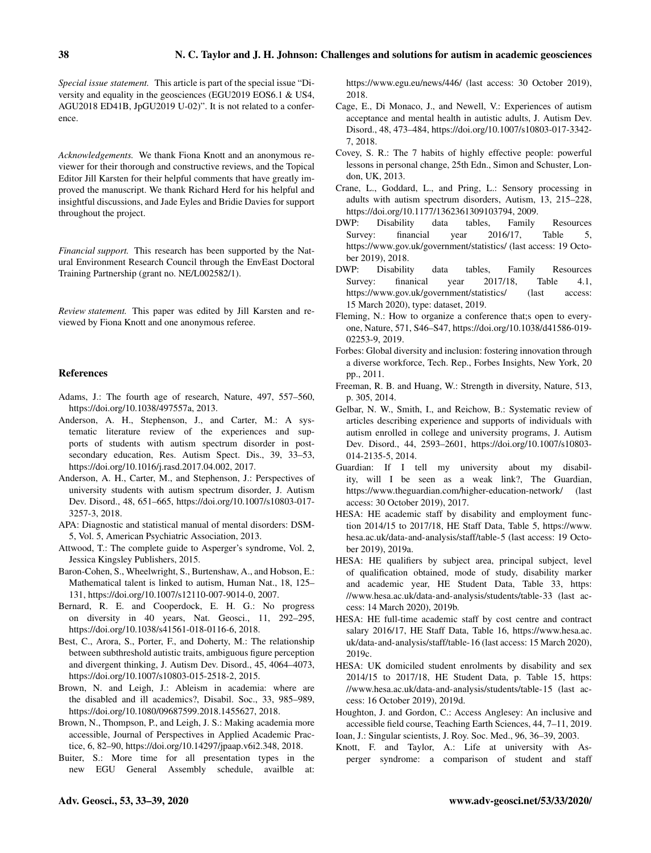*Special issue statement.* This article is part of the special issue "Diversity and equality in the geosciences (EGU2019 EOS6.1 & US4, AGU2018 ED41B, JpGU2019 U-02)". It is not related to a conference.

*Acknowledgements.* We thank Fiona Knott and an anonymous reviewer for their thorough and constructive reviews, and the Topical Editor Jill Karsten for their helpful comments that have greatly improved the manuscript. We thank Richard Herd for his helpful and insightful discussions, and Jade Eyles and Bridie Davies for support throughout the project.

*Financial support.* This research has been supported by the Natural Environment Research Council through the EnvEast Doctoral Training Partnership (grant no. NE/L002582/1).

*Review statement.* This paper was edited by Jill Karsten and reviewed by Fiona Knott and one anonymous referee.

## References

- <span id="page-5-1"></span>Adams, J.: The fourth age of research, Nature, 497, 557–560, https://doi.org[/10.1038/497557a,](https://doi.org/10.1038/497557a) 2013.
- <span id="page-5-11"></span>Anderson, A. H., Stephenson, J., and Carter, M.: A systematic literature review of the experiences and supports of students with autism spectrum disorder in postsecondary education, Res. Autism Spect. Dis., 39, 33–53, https://doi.org[/10.1016/j.rasd.2017.04.002,](https://doi.org/10.1016/j.rasd.2017.04.002) 2017.
- <span id="page-5-19"></span>Anderson, A. H., Carter, M., and Stephenson, J.: Perspectives of university students with autism spectrum disorder, J. Autism Dev. Disord., 48, 651–665, https://doi.org[/10.1007/s10803-017-](https://doi.org/10.1007/s10803-017-3257-3) [3257-3,](https://doi.org/10.1007/s10803-017-3257-3) 2018.
- <span id="page-5-23"></span>APA: Diagnostic and statistical manual of mental disorders: DSM-5, Vol. 5, American Psychiatric Association, 2013.
- <span id="page-5-24"></span>Attwood, T.: The complete guide to Asperger's syndrome, Vol. 2, Jessica Kingsley Publishers, 2015.
- <span id="page-5-10"></span>Baron-Cohen, S., Wheelwright, S., Burtenshaw, A., and Hobson, E.: Mathematical talent is linked to autism, Human Nat., 18, 125– 131, https://doi.org[/10.1007/s12110-007-9014-0,](https://doi.org/10.1007/s12110-007-9014-0) 2007.
- <span id="page-5-3"></span>Bernard, R. E. and Cooperdock, E. H. G.: No progress on diversity in 40 years, Nat. Geosci., 11, 292–295, https://doi.org[/10.1038/s41561-018-0116-6,](https://doi.org/10.1038/s41561-018-0116-6) 2018.
- <span id="page-5-18"></span>Best, C., Arora, S., Porter, F., and Doherty, M.: The relationship between subthreshold autistic traits, ambiguous figure perception and divergent thinking, J. Autism Dev. Disord., 45, 4064–4073, https://doi.org[/10.1007/s10803-015-2518-2,](https://doi.org/10.1007/s10803-015-2518-2) 2015.
- <span id="page-5-16"></span>Brown, N. and Leigh, J.: Ableism in academia: where are the disabled and ill academics?, Disabil. Soc., 33, 985–989, https://doi.org[/10.1080/09687599.2018.1455627,](https://doi.org/10.1080/09687599.2018.1455627) 2018.
- <span id="page-5-6"></span>Brown, N., Thompson, P., and Leigh, J. S.: Making academia more accessible, Journal of Perspectives in Applied Academic Practice, 6, 82–90, https://doi.org[/10.14297/jpaap.v6i2.348,](https://doi.org/10.14297/jpaap.v6i2.348) 2018.
- <span id="page-5-27"></span>Buiter, S.: More time for all presentation types in the new EGU General Assembly schedule, availble at:

[https://www.egu.eu/news/446/](https://www.egu.eu/news/446/more-time-for-all-presentation-types-in-the-new-egu-general-assembly-schedule/) (last access: 30 October 2019), 2018.

- <span id="page-5-21"></span>Cage, E., Di Monaco, J., and Newell, V.: Experiences of autism acceptance and mental health in autistic adults, J. Autism Dev. Disord., 48, 473–484, https://doi.org[/10.1007/s10803-017-3342-](https://doi.org/10.1007/s10803-017-3342-7) [7,](https://doi.org/10.1007/s10803-017-3342-7) 2018.
- <span id="page-5-0"></span>Covey, S. R.: The 7 habits of highly effective people: powerful lessons in personal change, 25th Edn., Simon and Schuster, London, UK, 2013.
- <span id="page-5-26"></span>Crane, L., Goddard, L., and Pring, L.: Sensory processing in adults with autism spectrum disorders, Autism, 13, 215–228, https://doi.org[/10.1177/1362361309103794,](https://doi.org/10.1177/1362361309103794) 2009.
- <span id="page-5-13"></span>DWP: Disability data tables, Family Resources Survey: financial year 2016/17, Table 5, [https://www.gov.uk/government/statistics/](https://www.gov.uk/government/statistics/family-resources-survey-financial-year-201617) (last access: 19 October 2019), 2018.
- <span id="page-5-15"></span>DWP: Disability data tables, Family Resources Survey: finanical year 2017/18, Table 4.1, [https://www.gov.uk/government/statistics/](https://www.gov.uk/government/statistics/family-resources-survey-financial-year-201718) (last access: 15 March 2020), type: dataset, 2019.
- <span id="page-5-7"></span>Fleming, N.: How to organize a conference that;s open to everyone, Nature, 571, S46–S47, https://doi.org[/10.1038/d41586-019-](https://doi.org/10.1038/d41586-019-02253-9) [02253-9,](https://doi.org/10.1038/d41586-019-02253-9) 2019.
- <span id="page-5-17"></span>Forbes: Global diversity and inclusion: fostering innovation through a diverse workforce, Tech. Rep., Forbes Insights, New York, 20 pp., 2011.
- <span id="page-5-2"></span>Freeman, R. B. and Huang, W.: Strength in diversity, Nature, 513, p. 305, 2014.
- <span id="page-5-20"></span>Gelbar, N. W., Smith, I., and Reichow, B.: Systematic review of articles describing experience and supports of individuals with autism enrolled in college and university programs, J. Autism Dev. Disord., 44, 2593–2601, https://doi.org[/10.1007/s10803-](https://doi.org/10.1007/s10803-014-2135-5) [014-2135-5,](https://doi.org/10.1007/s10803-014-2135-5) 2014.
- <span id="page-5-8"></span>Guardian: If I tell my university about my disability, will I be seen as a weak link?, The Guardian, [https://www.theguardian.com/higher-education-network/](https://www.theguardian.com/higher-education-network/2017/dec/08/if-i-tell-my-university-about-my-disability-will-i-be-seen-as-a-weak-link) (last access: 30 October 2019), 2017.
- <span id="page-5-4"></span>HESA: HE academic staff by disability and employment function 2014/15 to 2017/18, HE Staff Data, Table 5, [https://www.](https://www.hesa.ac.uk/data-and-analysis/staff/table-5) [hesa.ac.uk/data-and-analysis/staff/table-5](https://www.hesa.ac.uk/data-and-analysis/staff/table-5) (last access: 19 October 2019), 2019a.
- <span id="page-5-14"></span>HESA: HE qualifiers by subject area, principal subject, level of qualification obtained, mode of study, disability marker and academic year, HE Student Data, Table 33, [https:](https://www.hesa.ac.uk/data-and-analysis/students/table-33) [//www.hesa.ac.uk/data-and-analysis/students/table-33](https://www.hesa.ac.uk/data-and-analysis/students/table-33) (last access: 14 March 2020), 2019b.
- <span id="page-5-22"></span>HESA: HE full-time academic staff by cost centre and contract salary 2016/17, HE Staff Data, Table 16, [https://www.hesa.ac.](https://www.hesa.ac.uk/data-and-analysis/staff/table-16) [uk/data-and-analysis/staff/table-16](https://www.hesa.ac.uk/data-and-analysis/staff/table-16) (last access: 15 March 2020), 2019c.
- <span id="page-5-5"></span>HESA: UK domiciled student enrolments by disability and sex 2014/15 to 2017/18, HE Student Data, p. Table 15, [https:](https://www.hesa.ac.uk/data-and-analysis/students/table-15) [//www.hesa.ac.uk/data-and-analysis/students/table-15](https://www.hesa.ac.uk/data-and-analysis/students/table-15) (last access: 16 October 2019), 2019d.
- <span id="page-5-12"></span>Houghton, J. and Gordon, C.: Access Anglesey: An inclusive and accessible field course, Teaching Earth Sciences, 44, 7–11, 2019. Ioan, J.: Singular scientists, J. Roy. Soc. Med., 96, 36–39, 2003.
- <span id="page-5-25"></span><span id="page-5-9"></span>Knott, F. and Taylor, A.: Life at university with Asperger syndrome: a comparison of student and staff